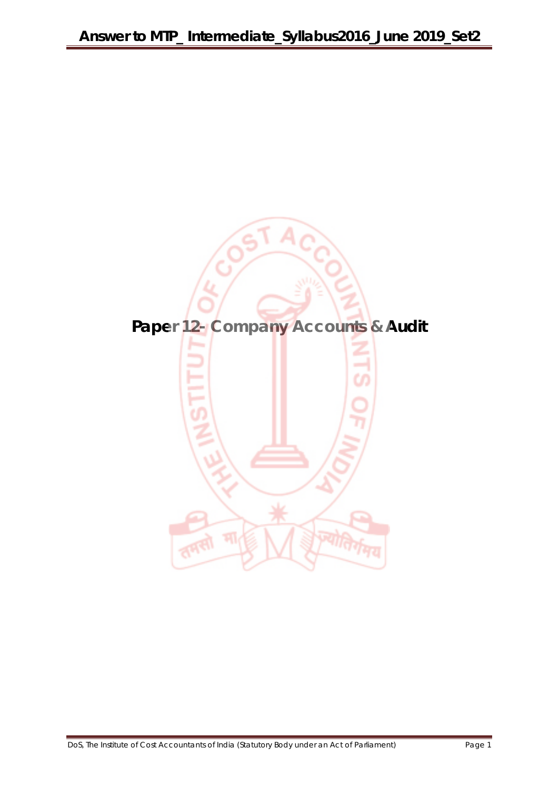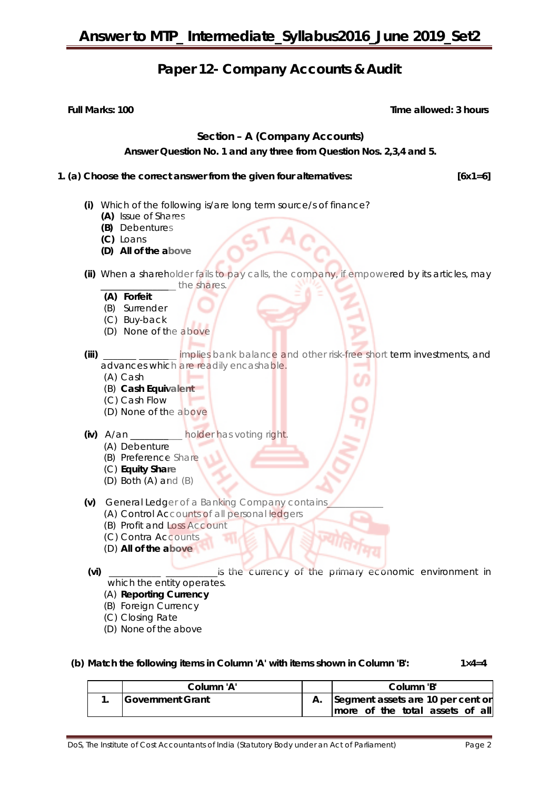### **Paper 12- Company Accounts & Audit**

**Full Marks: 100** Time allowed: 3 hours

#### **Section – A (Company Accounts)**

**Answer Question No. 1 and any three from Question Nos. 2,3,4 and 5.**

**1. (a) Choose the correct answer from the given four alternatives: [6x1=6]** 

- **(i)** Which of the following is/are long term source/s of finance?
	- **(A)** Issue of Shares
	- **(B)** Debentures
	- **(C)** Loans
	- **(D) All of the above**
- **(ii)** When a shareholder fails to pay calls, the company, if empowered by its articles, may the shares.
	- **(A) Forfeit**
	- (B) Surrender
	- (C) Buy-back
	- (D) None of the above

**(iii) a...** implies bank balance and other risk-free short term investments, and advances which are readily encashable.

- (A) Cash
- (B) **Cash Equivalent**
- (C) Cash Flow
- (D) None of the above
- **(iv)** A/an \_\_\_\_\_\_\_\_\_\_\_ holder has voting right.
	- (A) Debenture
	- (B) Preference Share
	- (C) **Equity Share**
	- (D) Both (A) and (B)
- **(v)** General Ledger of a Banking Company contains\_\_\_\_\_\_\_\_\_\_\_\_
	- (A) Control Accounts of all personal ledgers
	- (B) Profit and Loss Account
	- (C) Contra Accounts
	- (D) **All of the above**
- 

**(vi)** \_\_\_\_\_\_\_\_\_\_\_ \_\_\_\_\_\_\_\_\_\_\_is the currency of the primary economic environment in which the entity operates.

- (A) **Reporting Currency**
- (B) Foreign Currency
- (C) Closing Rate
- (D) None of the above
- **(b) Match the following items in Column 'A' with items shown in Column 'B': 1×4=4**

| Column 'A'       |  |  | Column 'B' |                                      |  |
|------------------|--|--|------------|--------------------------------------|--|
| Government Grant |  |  |            | A. Segment assets are 10 per cent or |  |
|                  |  |  |            | more of the total assets of all      |  |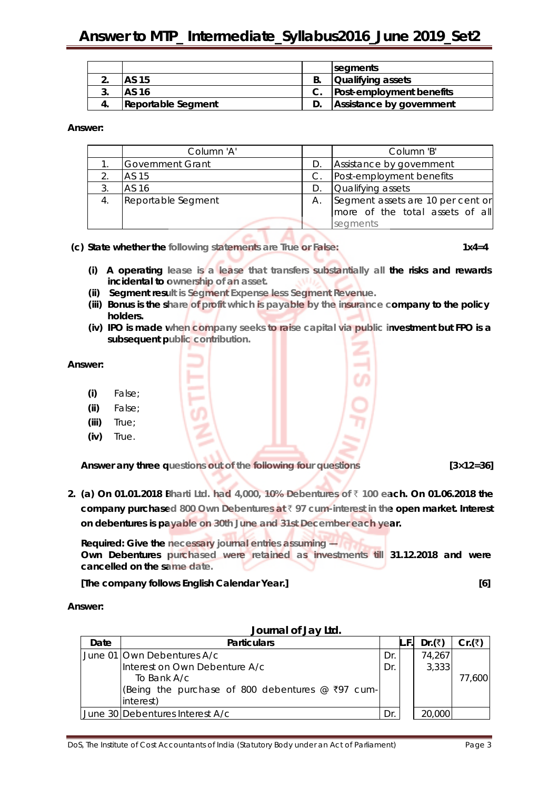|  |                    | segments                        |
|--|--------------------|---------------------------------|
|  | AS 15              | <b>Qualifying assets</b>        |
|  | AS 16              | <b>Post-employment benefits</b> |
|  | Reportable Segment | Assistance by government        |

#### **Answer:**

|    | Column 'A'              |    | Column 'B'                        |
|----|-------------------------|----|-----------------------------------|
|    | <b>Government Grant</b> | D. | Assistance by government          |
|    | AS 15                   |    | Post-employment benefits          |
| 3. | AS 16                   |    | Qualifying assets                 |
|    | Reportable Segment      | А. | Segment assets are 10 per cent or |
|    |                         |    | more of the total assets of all   |
|    |                         |    | segments                          |

**(c) State whether the following statements are True or False:** 1x4=4

- **(i) A operating lease is a lease that transfers substantially all the risks and rewards incidental to ownership of an asset.**
- **(ii) Segment result is Segment Expense less Segment Revenue.**
- **(iii) Bonus is the share of profit which is payable by the insurance company to the policy holders.**
- **(iv) IPO is made when company seeks to raise capital via public investment but FPO is a subsequent public contribution.**

#### **Answer:**

- **(i)** False;
- **(ii)** False;
- **(iii)** True;
- **(iv)** True.

**Answer any three questions out of the following four questions [3×12=36]**

**2. (a) On 01.01.2018 Bharti Ltd. had 4,000, 10% Debentures of** ` **100 each. On 01.06.2018 the company purchased 800 Own Debentures at** ` **97 cum-interest in the open market. Interest on debentures is payable on 30th June and 31st December each year.**

**Required: Give the necessary journal entries assuming — Own Debentures purchased were retained as investments till 31.12.2018 and were cancelled on the same date.**

**[The company follows English Calendar Year.] [6]** 

**Answer:**

|      | JOUIHAI OI JAY LIU.                                |     |            |        |
|------|----------------------------------------------------|-----|------------|--------|
| Date | <b>Particulars</b>                                 |     | Dr. $($ ₹) | Cr.(₹) |
|      | June 01 Own Debentures A/c                         | Dr. | 74,267     |        |
|      | Interest on Own Debenture A/c                      | Dr. | 3,333      |        |
|      | To Bank $A/c$                                      |     |            | 77,600 |
|      | (Being the purchase of 800 debentures $@$ ₹97 cum- |     |            |        |
|      | interest)                                          |     |            |        |
|      | June 30 Debentures Interest A/c                    | Dr  | 20,000     |        |

#### **Journal of Jay Ltd.**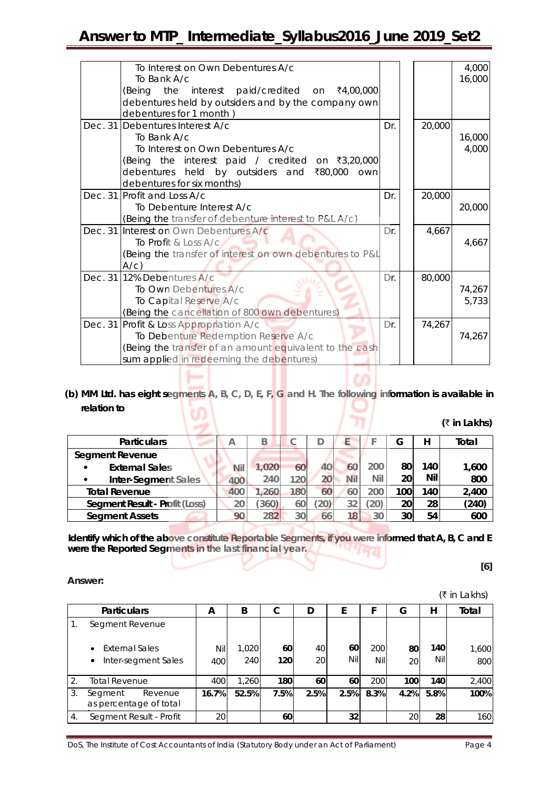| To Interest on Own Debentures A/c                        |     |        | 4,000  |
|----------------------------------------------------------|-----|--------|--------|
| To Bank A/c                                              |     |        | 16,000 |
| (Being the interest paid/credited on $\bar{x}4,00,000$   |     |        |        |
| debentures held by outsiders and by the company own      |     |        |        |
| debentures for 1 month)                                  |     |        |        |
| Dec. 31 Debentures Interest A/c                          | Dr. | 20,000 |        |
| To Bank A/c                                              |     |        | 16,000 |
| To Interest on Own Debentures A/c                        |     |        | 4,000  |
| (Being the interest paid / credited on ₹3,20,000         |     |        |        |
| debentures held by outsiders and ₹80,000 own             |     |        |        |
| debentures for six months)                               |     |        |        |
| Dec. 31 Profit and Loss A/c                              | Dr. | 20,000 |        |
| To Debenture Interest A/c                                |     |        | 20,000 |
| (Being the transfer of debenture interest to P&L A/c)    |     |        |        |
| Dec. 31 Interest on Own Debentures A/c                   | Dr. | 4,667  |        |
| To Profit & Loss A/c                                     |     |        | 4,667  |
| (Being the transfer of interest on own debentures to P&L |     |        |        |
| $A/c$ )                                                  |     |        |        |
| Dec. 31 12% Debentures A/c                               | Dr. | 80,000 |        |
| To Own Debentures A/c                                    |     |        | 74,267 |
| To Capital Reserve A/c                                   |     |        | 5,733  |
| (Being the cancellation of 800 own debentures)           |     |        |        |
| Dec. 31 Profit & Loss Appropriation A/c                  | Dr. | 74,267 |        |
|                                                          |     |        | 74,267 |
| To Debenture Redemption Reserve A/c                      |     |        |        |
| (Being the transfer of an amount equivalent to the cash  |     |        |        |
| sum applied in redeeming the debentures)                 |     |        |        |

## **(b) MM Ltd. has eight segments A, B, C, D, E, F, G and H. The following information is available in relation to**   $\ket{2}$

| (₹ in Lakhs) |
|--------------|
|--------------|

| <b>Particulars</b>                    |            | B     |                  |    |     |           | G   |     | Total |
|---------------------------------------|------------|-------|------------------|----|-----|-----------|-----|-----|-------|
| <b>Segment Revenue</b>                |            |       |                  |    |     |           |     |     |       |
| <b>External Sales</b><br>$\bullet$    | <b>Nil</b> | 1.020 | 60               | 40 | 60  | 200       | 80  | 140 | 1,600 |
| Inter-Segment Sales                   | 400        | 240   | 120 <sub>1</sub> | 20 | Nil | Nil       | 20  | Nil | 800   |
| <b>Total Revenue</b>                  | 400        | 1,260 | 180              | 60 | 60  | 200       | 100 | 140 | 2,400 |
| <b>Segment Result - Profit (Loss)</b> | 20         | 360)  | 60               | 20 | 32  | $^{'}20)$ | 20  | 28  | (240) |
| <b>Segment Assets</b>                 | 90         | 282   | 30               | 66 | 18  | 30        | 30  | 54  | 600   |

**Identify which of the above constitute Reportable Segments, if you were informed that A, B, C and E** were the Reported Seqments in the last financial year. **were the Reported Segments in the last financial year.**

 $\sim$  **b**  $\sim$  **16** 

**Answer:**

 $(3 \nvert n \rvert \rvert a \rvert h s)$ 

|    | <b>Particulars</b>                           | А     | B     | С    | D    | F    |      | G    | н               | Total |
|----|----------------------------------------------|-------|-------|------|------|------|------|------|-----------------|-------|
|    | Segment Revenue                              |       |       |      |      |      |      |      |                 |       |
|    | <b>External Sales</b><br>$\bullet$           | Nil   | 1,020 | 60   | 40   | 60   | 200  | 80   | 140             | 1,600 |
|    | Inter-segment Sales<br>$\bullet$             | 400   | 240   | 120  | 20   | Nil  | Nil  | 20   | Nil             | 800   |
| 2. | <b>Total Revenue</b>                         | 400   | 1.260 | 180  | 60   | 60   | 200  | 100  | 140             | 2,400 |
| 3. | Revenue<br>Segment<br>as percentage of total | 16.7% | 52.5% | 7.5% | 2.5% | 2.5% | 8.3% | 4.2% | 5.8%            | 100%  |
| 4. | Segment Result - Profit                      | 20    |       | 60   |      | 32   |      | 20   | 28 <sub>1</sub> | 160   |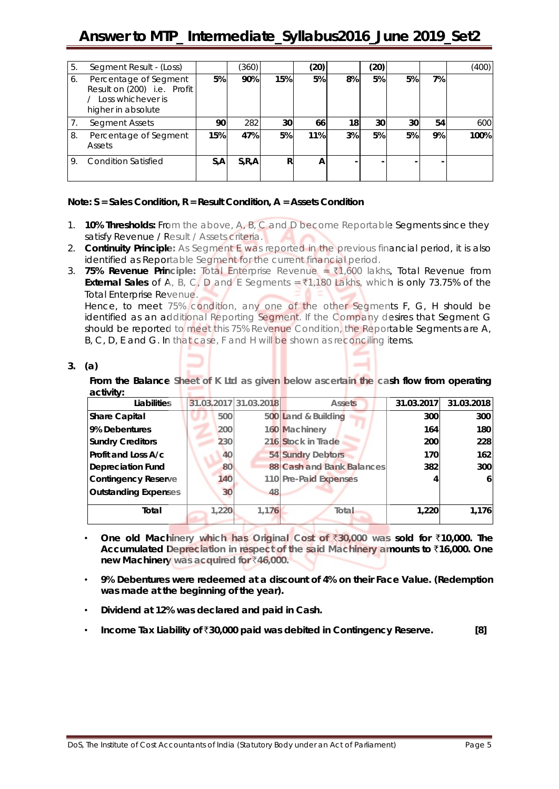| 5. | Segment Result - (Loss)                                                                         |     | (360)   |     | (20) |    | (20) |    |    | (400) |
|----|-------------------------------------------------------------------------------------------------|-----|---------|-----|------|----|------|----|----|-------|
| 6. | Percentage of Segment<br>Result on (200) i.e. Profit<br>Loss whichever is<br>higher in absolute | 5%  | 90%     | 15% | 5%   | 8% | 5%   | 5% | 7% |       |
|    | Segment Assets                                                                                  | 90  | 282     | 30  | 66   | 18 | 30   | 30 | 54 | 600   |
| 8. | Percentage of Segment<br>Assets                                                                 | 15% | 47%     | 5%  | 11%  | 3% | 5%   | 5% | 9% | 100%  |
| 9. | <b>Condition Satisfied</b>                                                                      | S,A | S, R, A | R   | A    |    |      |    |    |       |

#### **Note: S = Sales Condition, R = Result Condition, A = Assets Condition**

- 1. **10% Thresholds:** From the above, A, B, C and D become Reportable Segments since they satisfy Revenue / Result / Assets criteria.
- 2. **Continuity Principle:** As Segment E was reported in the previous financial period, it is also identified as Reportable Segment for the current financial period.
- 3. **75% Revenue Principle:** Total Enterprise Revenue = `1,600 lakhs, Total Revenue from **External Sales** of A, B, C, D and E Segments =  $\frac{1}{2}1,180$  Lakhs, which is only 73.75% of the Total Enterprise Revenue.

Hence, to meet 75% condition, any one of the other Segments F, G, H should be identified as an additional Reporting Segment. If the Company desires that Segment G should be reported to meet this 75% Revenue Condition, the Reportable Segments are A, B, C, D, E and G. In that case, F and H will be shown as reconciling items.

#### **3. (a)**

**From the Balance Sheet of K Ltd as given below ascertain the cash flow from operating activity:** 15 n a

| Liabilities                 |       | 31.03.2017 31.03.2018 | <b>Assets</b>             | 31.03.2017 | 31.03.2018 |
|-----------------------------|-------|-----------------------|---------------------------|------------|------------|
| <b>Share Capital</b>        | 500   |                       | 500 Land & Building       | 300        | 300        |
| 9% Debentures               | 200   |                       | 160 Machinery             | 164        | 180        |
| <b>Sundry Creditors</b>     | 230   |                       | 216 Stock in Trade        | 200        | 228        |
| Profit and Loss A/c         | 40    |                       | 54 Sundry Debtors         | <b>170</b> | 162        |
| <b>Depreciation Fund</b>    | 80    |                       | 88 Cash and Bank Balances | 382        | 300        |
| Contingency Reserve         | 140   |                       | 110 Pre-Paid Expenses     | 4          | 6          |
| <b>Outstanding Expenses</b> | 30    | 48                    |                           |            |            |
| Total                       | 1,220 | 1,176                 | Total                     | 1,220      | 1.176      |

- **One old Machinery which has Original Cost of** `**30,000 was sold for** `**10,000. The Accumulated Depreciation in respect of the said Machinery amounts to** `**16,000. One new Machinery was acquired for ₹46,000.**
- **9% Debentures were redeemed at a discount of 4% on their Face Value. (Redemption was made at the beginning of the year).**
- **Dividend at 12% was declared and paid in Cash.**
- **Income Tax Liability of** `**30,000 paid was debited in Contingency Reserve. [8]**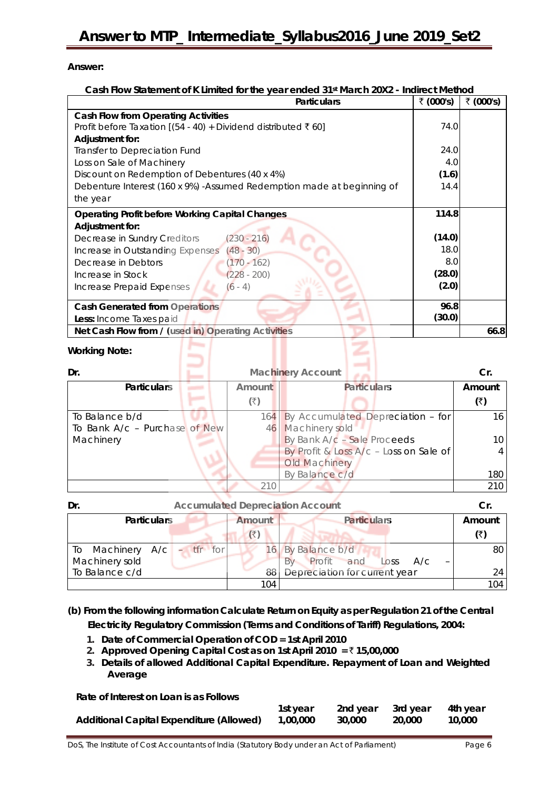#### **Answer:**

#### **Cash Flow Statement of K Limited for the year ended 31st March 20X2 - Indirect Method**

| <b>Particulars</b>                                                      | ₹ (000's) | ₹ (000's) |
|-------------------------------------------------------------------------|-----------|-----------|
| <b>Cash Flow from Operating Activities</b>                              |           |           |
| Profit before Taxation [(54 - 40) + Dividend distributed ₹ 60]          | 74.0      |           |
| Adjustment for:                                                         |           |           |
| Transfer to Depreciation Fund                                           | 24.0      |           |
| Loss on Sale of Machinery                                               | 4.0       |           |
| Discount on Redemption of Debentures (40 x 4%)                          | (1.6)     |           |
| Debenture Interest (160 x 9%) - Assumed Redemption made at beginning of | 14.4      |           |
| the year                                                                |           |           |
| <b>Operating Profit before Working Capital Changes</b>                  | 114.8     |           |
| Adjustment for:                                                         |           |           |
| $(230 - 216)$<br>Decrease in Sundry Creditors                           | (14.0)    |           |
| $(48 - 30)$<br>Increase in Outstanding Expenses                         | 18.0      |           |
| Decrease in Debtors<br>$170 - 162)$                                     | 8.0       |           |
| $(228 - 200)$<br>Increase in Stock                                      | (28.0)    |           |
| $(6 - 4)$<br>Increase Prepaid Expenses                                  | (2.0)     |           |
| <b>Cash Generated from Operations</b>                                   | 96.8      |           |
| <b>Less: Income Taxes paid</b>                                          | (30.0)    |           |
| Net Cash Flow from / (used in) Operating Activities                     |           | 66.8      |

#### **Working Note:**

| Dr.                           |        | <b>Machinery Account</b>               | Cr.    |
|-------------------------------|--------|----------------------------------------|--------|
| <b>Particulars</b>            | Amount | <b>Particulars</b>                     | Amount |
|                               | (₹)    |                                        | (₹)    |
| To Balance b/d                | 164    | By Accumulated Depreciation - for      | 16     |
| To Bank A/c - Purchase of New | 46     | Machinery sold                         |        |
| Machinery                     |        | By Bank A/c - Sale Proceeds            |        |
|                               |        | By Profit & Loss A/c - Loss on Sale of |        |
|                               |        | Old Machinery                          |        |
|                               |        | By Balance c/d                         | 180    |
|                               |        |                                        | 210    |

| Dr.                | <b>Accumulated Depreciation Account</b> |                              |                               |        |
|--------------------|-----------------------------------------|------------------------------|-------------------------------|--------|
| <b>Particulars</b> |                                         | <b>Particulars</b><br>Amount |                               | Amount |
|                    |                                         | $(\overline{\mathbf{x}})$    |                               | (₹)    |
| To Machinery A/c   | $-$ tfr for                             |                              | By Balance b/d                | 80     |
| Machinery sold     |                                         |                              | Profit and Loss<br>A/c        |        |
| To Balance c/d     |                                         | 88                           | Depreciation for current year | 24     |
|                    |                                         | 104                          |                               | 104    |

**(b) From the following information Calculate Return on Equity as per Regulation 21 of the Central Electricity Regulatory Commission (Terms and Conditions of Tariff) Regulations, 2004:**

- **1. Date of Commercial Operation of COD = 1st April 2010**
- **2. Approved Opening Capital Cost as on 1st April 2010 =** ` **15,00,000**
- **3. Details of allowed Additional Capital Expenditure. Repayment of Loan and Weighted Average**

| Rate of Interest on Loan is as Follows   |          |          |          |          |
|------------------------------------------|----------|----------|----------|----------|
|                                          | 1st vear | 2nd vear | 3rd vear | 4th vear |
| Additional Capital Expenditure (Allowed) | 1.00.000 | 30.000   | 20.000   | 10,000   |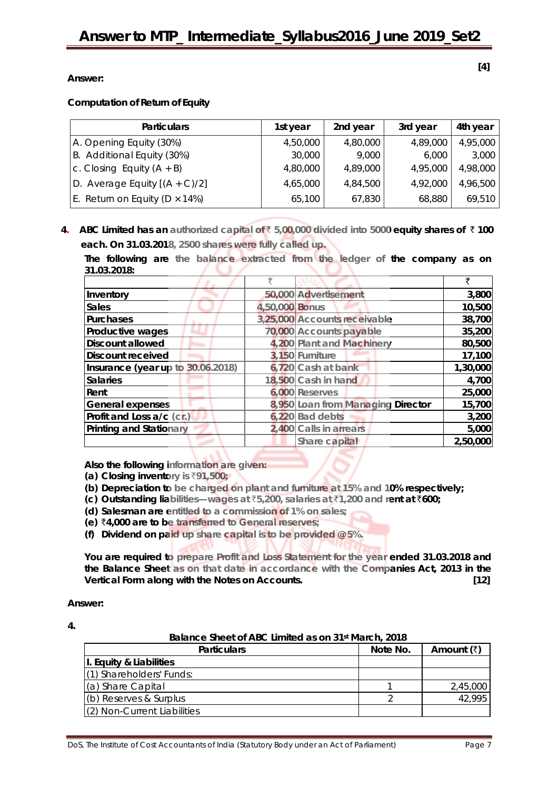**[4]** 

**Answer:** 

**Computation of Return of Equity**

| <b>Particulars</b>                      | 1st year | 2nd year | 3rd year | 4th year |
|-----------------------------------------|----------|----------|----------|----------|
| A. Opening Equity (30%)                 | 4,50,000 | 4,80,000 | 4,89,000 | 4,95,000 |
| B. Additional Equity (30%)              | 30,000   | 9,000    | 6,000    | 3,000    |
| c. Closing Equity $(A + B)$             | 4,80,000 | 4,89,000 | 4,95,000 | 4,98,000 |
| D. Average Equity $[(A + C)/2]$         | 4,65,000 | 4,84,500 | 4,92,000 | 4,96,500 |
| E. Return on Equity ( $D \times 14\%$ ) | 65,100   | 67,830   | 68,880   | 69,510   |

**4. ABC Limited has an authorized capital of** ` **5,00,000 divided into 5000 equity shares of** ` **100 each. On 31.03.2018, 2500 shares were fully called up.**

**The following are the balance extracted from the ledger of the company as on 31.03.2018:** 707

| Inventory                         |                | 50,000 Advertisement              | 3,800    |
|-----------------------------------|----------------|-----------------------------------|----------|
| <b>Sales</b>                      | 4,50,000 Bonus |                                   | 10,500   |
| <b>Purchases</b>                  |                | 3,25,000 Accounts receivable      | 38,700   |
| Productive wages                  |                | 70,000 Accounts payable           | 35,200   |
| <b>Discount allowed</b>           |                | 4,200 Plant and Machinery         | 80,500   |
| <b>Discount received</b>          |                | 3,150 Furniture                   | 17,100   |
| Insurance (year up to 30.06.2018) |                | 6,720 Cash at bank                | 1,30,000 |
| <b>Salaries</b>                   |                | 18,500 Cash in hand               | 4,700    |
| Rent                              |                | 6,000 Reserves                    | 25,000   |
| <b>General expenses</b>           |                | 8,950 Loan from Managing Director | 15,700   |
| Profit and Loss a/c (cr.)         |                | $6,220$ Bad debts                 | 3,200    |
| <b>Printing and Stationary</b>    |                | 2,400 Calls in arrears            | 5,000    |
|                                   |                | Share capital                     | 2,50,000 |

**Also the following information are given:**

- **(a) Closing inventory is** `**91,500;**
- **(b) Depreciation to be charged on plant and furniture at 15% and 10% respectively;**
- **(c) Outstanding liabilities—wages at** `**5,200, salaries at** `**1,200 and rent at** `**600;**
- **(d) Salesman are entitled to a commission of 1% on sales;**
- **(e)** `**4,000 are to be transferred to General reserves;**
- **(f) Dividend on paid up share capital is to be provided @ 5%.**

**You are required to prepare Profit and Loss Statement for the year ended 31.03.2018 and the Balance Sheet as on that date in accordance with the Companies Act, 2013 in the Vertical Form along with the Notes on Accounts. [12]** 

**Answer:**

| ٦ |  |
|---|--|
| ÷ |  |

| Balance sheet of ABC Limited as on 31 <sup>st</sup> March, 2018 |          |                    |  |
|-----------------------------------------------------------------|----------|--------------------|--|
| <b>Particulars</b>                                              | Note No. | Amount $(\bar{x})$ |  |
| I. Equity & Liabilities                                         |          |                    |  |
| (1) Shareholders' Funds:                                        |          |                    |  |
| (a) Share Capital                                               |          | 2,45,000           |  |
| (b) Reserves & Surplus                                          |          | 42,995             |  |
| (2) Non-Current Liabilities                                     |          |                    |  |

**Balance Sheet of ABC Limited as on 31st March, 2018**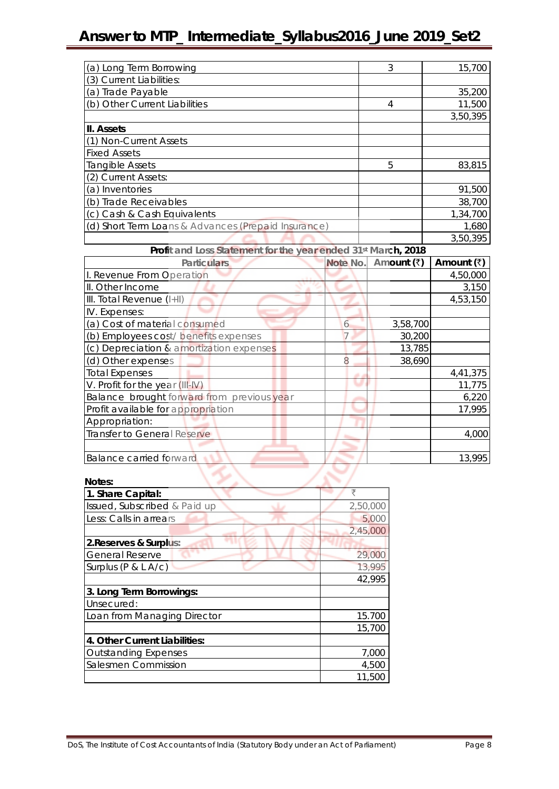| (a) Long Term Borrowing                             | 3 | 15,700   |
|-----------------------------------------------------|---|----------|
| (3) Current Liabilities:                            |   |          |
| (a) Trade Payable                                   |   | 35,200   |
| (b) Other Current Liabilities                       | 4 | 11,500   |
|                                                     |   | 3,50,395 |
| III. Assets                                         |   |          |
| (1) Non-Current Assets                              |   |          |
| <b>Fixed Assets</b>                                 |   |          |
| Tangible Assets                                     | 5 | 83,815   |
| (2) Current Assets:                                 |   |          |
| (a) Inventories                                     |   | 91,500   |
| (b) Trade Receivables                               |   | 38,700   |
| (c) Cash & Cash Equivalents                         |   | 1,34,700 |
| (d) Short Term Loans & Advances (Prepaid Insurance) |   | 1,680    |
|                                                     |   | 3,50,395 |

| Profit and Loss Statement for the year ended 31st March, 2018 |  |          |            |            |
|---------------------------------------------------------------|--|----------|------------|------------|
| <b>Particulars</b>                                            |  | Note No. | Amount (₹) | Amount (₹) |
| I. Revenue From Operation                                     |  |          |            | 4,50,000   |
| II. Other Income                                              |  |          |            | 3,150      |
| III. Total Revenue (I+II)                                     |  |          |            | 4,53,150   |
| IV. Expenses:                                                 |  |          |            |            |
| (a) Cost of material consumed                                 |  | h        | 3,58,700   |            |
| (b) Employees cost/ benefits expenses                         |  |          | 30,200     |            |
| (c) Depreciation & amortization expenses                      |  |          | 13,785     |            |
| (d) Other expenses                                            |  |          | 38,690     |            |
| <b>Total Expenses</b>                                         |  |          |            | 4,41,375   |
| V. Profit for the year (III-IV)                               |  |          |            | 11,775     |
| Balance brought forward from previous year                    |  |          |            | 6,220      |
| Profit available for appropriation                            |  |          |            | 17,995     |
| Appropriation:                                                |  |          |            |            |
| Transfer to General Reserve                                   |  |          |            | 4,000      |
|                                                               |  |          |            |            |
| <b>Balance carried forward</b>                                |  |          |            | 13,995     |

| Notes:                        |          |
|-------------------------------|----------|
| 1. Share Capital:             | ₹        |
| Issued, Subscribed & Paid up  | 2,50,000 |
| Less: Calls in arrears        | 5,000    |
|                               | 2,45,000 |
| 2. Reserves & Surplus:        |          |
| <b>General Reserve</b>        | 29,000   |
| Surplus (P & L A/c)           | 13,995   |
|                               | 42,995   |
| 3. Long Term Borrowings:      |          |
| Unsecured:                    |          |
| Loan from Managing Director   | 15.700   |
|                               | 15,700   |
| 4. Other Current Liabilities: |          |
| <b>Outstanding Expenses</b>   | 7,000    |
| Salesmen Commission           | 4,500    |
|                               | 11,500   |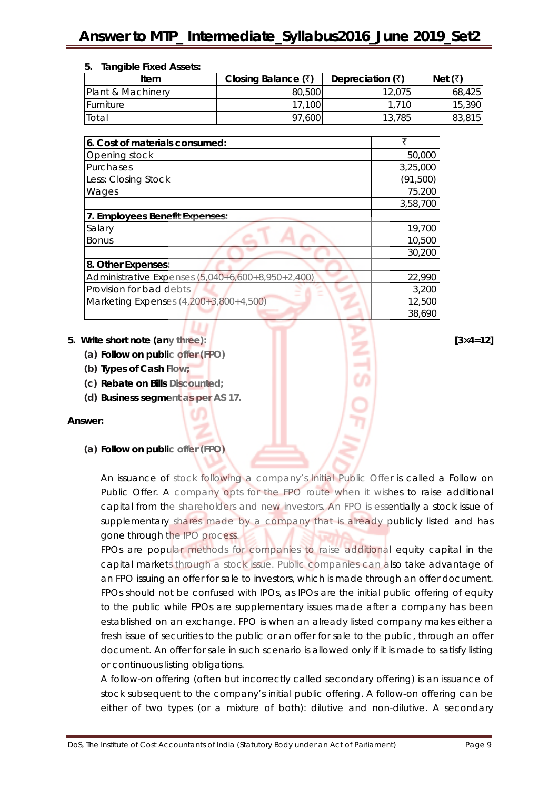| <b>Tangible Fixed Assets:</b><br>5. |                             |                          |         |
|-------------------------------------|-----------------------------|--------------------------|---------|
| Item                                | Closing Balance $(\bar{x})$ | Depreciation $(\bar{x})$ | Net (₹) |
| Plant & Machinery                   | 80,500                      | 12,075                   | 68,425  |
| <b>Furniture</b>                    | 17,100                      | 1.710                    | 15,390  |
| Total                               | 97.600                      | 13,785                   | 83,815  |

| 6. Cost of materials consumed:                    | ₹         |
|---------------------------------------------------|-----------|
| Opening stock                                     | 50,000    |
| Purchases                                         | 3,25,000  |
| Less: Closing Stock                               | (91, 500) |
| Wages                                             | 75.200    |
|                                                   | 3,58,700  |
| 7. Employees Benefit Expenses:                    |           |
| Salary                                            | 19,700    |
| <b>Bonus</b>                                      | 10,500    |
|                                                   | 30,200    |
| 8. Other Expenses:                                |           |
| Administrative Expenses (5,040+6,600+8,950+2,400) | 22,990    |
| Provision for bad debts                           | 3,200     |
| Marketing Expenses $(4,200+3,800+4,500)$          | 12,500    |
|                                                   | 38,690    |

#### **5. Write short note (any three): [3×4=12] [3×4=12]**

- **(a) Follow on public offer (FPO)**
- **(b) Types of Cash Flow;**
- **(c) Rebate on Bills Discounted;**
- **(d) Business segment as per AS 17.**

#### **Answer:**

**(a) Follow on public offer (FPO)** 

An issuance of stock following a company's Initial Public Offer is called a Follow on Public Offer. A company opts for the FPO route when it wishes to raise additional capital from the shareholders and new investors. An FPO is essentially a stock issue of supplementary shares made by a company that is already publicly listed and has gone through the IPO process.

FPOs are popular methods for companies to raise additional equity capital in the capital markets through a stock issue. Public companies can also take advantage of an FPO issuing an offer for sale to investors, which is made through an offer document. FPOs should not be confused with IPOs, as IPOs are the initial public offering of equity to the public while FPOs are supplementary issues made after a company has been established on an exchange. FPO is when an already listed company makes either a fresh issue of securities to the public or an offer for sale to the public, through an offer document. An offer for sale in such scenario is allowed only if it is made to satisfy listing or continuous listing obligations.

A follow-on offering (often but incorrectly called secondary offering) is an issuance of stock subsequent to the company's initial public offering. A follow-on offering can be either of two types (or a mixture of both): dilutive and non-dilutive. A secondary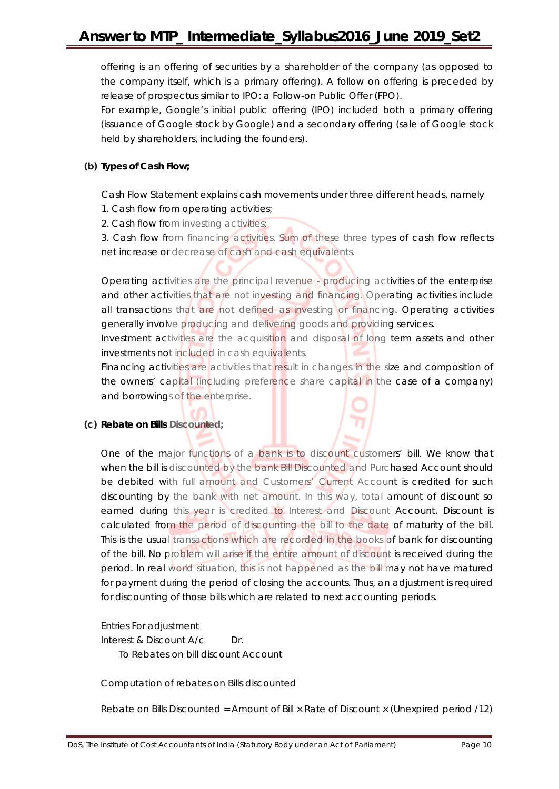offering is an offering of securities by a shareholder of the company (as opposed to the company itself, which is a primary offering). A follow on offering is preceded by release of prospectus similar to IPO: a Follow-on Public Offer (FPO).

For example, Google's initial public offering (IPO) included both a primary offering (issuance of Google stock by Google) and a secondary offering (sale of Google stock held by shareholders, including the founders).

#### **(b) Types of Cash Flow;**

Cash Flow Statement explains cash movements under three different heads, namely

- 1. Cash flow from operating activities;
- 2. Cash flow from investing activities;

3. Cash flow from financing activities. Sum of these three types of cash flow reflects net increase or decrease of cash and cash equivalents.

Operating activities are the principal revenue - producing activities of the enterprise and other activities that are not investing and financing. Operating activities include all transactions that are not defined as investing or financing. Operating activities generally involve producing and delivering goods and providing services.

Investment activities are the acquisition and disposal of long term assets and other investments not included in cash equivalents.

Financing activities are activities that result in changes in the size and composition of the owners' capital (including preference share capital in the case of a company) and borrowings of the enterprise.

#### **(c) Rebate on Bills Discounted;**

One of the major functions of a bank is to discount customers' bill. We know that when the bill is discounted by the bank Bill Discounted and Purchased Account should be debited with full amount and Customers' Current Account is credited for such discounting by the bank with net amount. In this way, total amount of discount so earned during this year is credited to Interest and Discount Account. Discount is calculated from the period of discounting the bill to the date of maturity of the bill. This is the usual transactions which are recorded in the books of bank for discounting of the bill. No problem will arise if the entire amount of discount is received during the period. In real world situation, this is not happened as the bill may not have matured for payment during the period of closing the accounts. Thus, an adjustment is required for discounting of those bills which are related to next accounting periods.

Entries For adjustment

Interest & Discount A/c Dr. To Rebates on bill discount Account

Computation of rebates on Bills discounted

Rebate on Bills Discounted = Amount of Bill × Rate of Discount × (Unexpired period /12)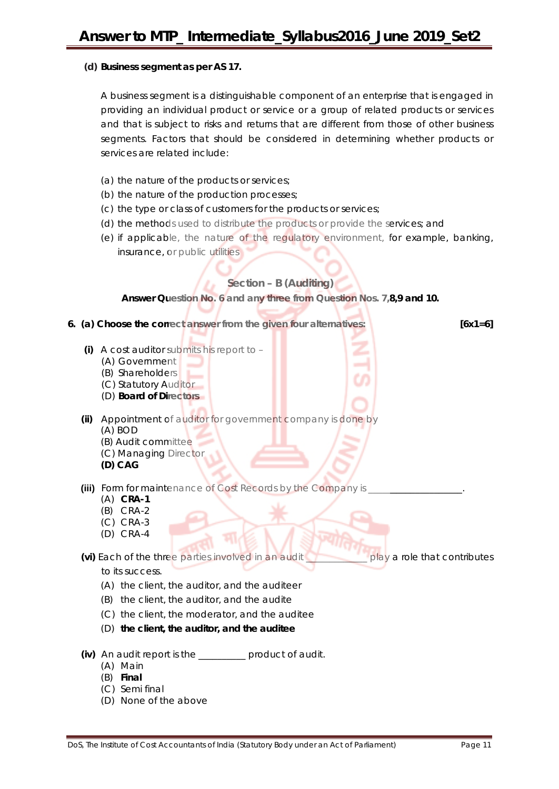#### **(d) Business segment as per AS 17.**

A business segment is a distinguishable component of an enterprise that is engaged in providing an individual product or service or a group of related products or services and that is subject to risks and returns that are different from those of other business segments. Factors that should be considered in determining whether products or services are related include:

- (a) the nature of the products or services;
- (b) the nature of the production processes;
- (c) the type or class of customers for the products or services;
- (d) the methods used to distribute the products or provide the services; and
- (e) if applicable, the nature of the regulatory environment, for example, banking, insurance, or public utilities

#### **Section – B (Auditing)**

**Answer Question No. 6 and any three from Question Nos. 7,8,9 and 10.**

**6. (a) Choose the correct answer from the given four alternatives: [6x1=6]**

- **(i)** A cost auditor submits his report to
	- (A) Government
	- (B) Shareholders
	- (C) Statutory Auditor
	- (D) **Board of Directors**
- **(ii)** Appointment of auditor for government company is done by (A) BOD (B) Audit committee
	- (C) Managing Director
	- **(D) CAG**
- **(iii)** Form for maintenance of Cost Records by the Company is
	- (A) **CRA-1**
	- (B) CRA-2
	- (C) CRA-3
	- (D) CRA-4

**(vi)** Each of the three parties involved in an audit \_\_\_\_\_\_\_\_\_\_\_\_\_ play a role that contributes

to its success.

- (A) the client, the auditor, and the auditeer
- (B) the client, the auditor, and the audite
- (C) the client, the moderator, and the auditee
- (D) **the client, the auditor, and the auditee**
- **(iv)** An audit report is the \_\_\_\_\_\_\_\_\_\_ product of audit.
	- (A) Main
	- (B) **Final**
	- (C) Semi final
	- (D) None of the above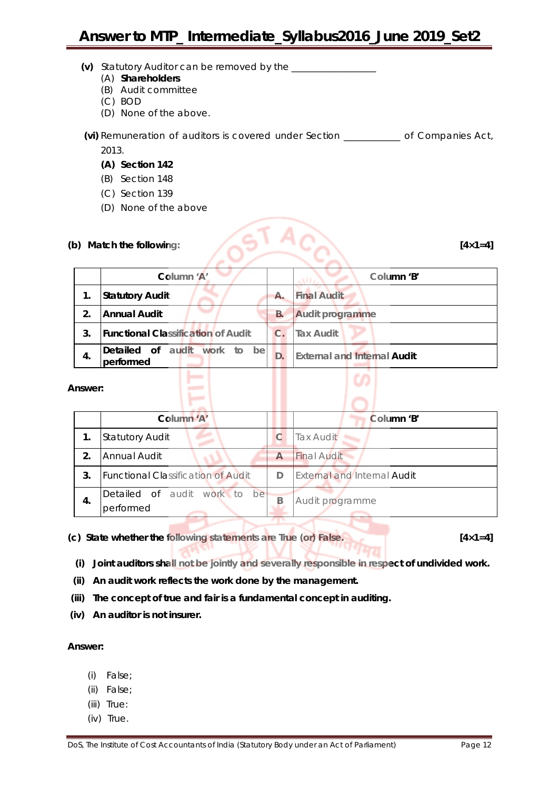- **(v)** Statutory Auditor can be removed by the \_\_\_\_\_\_\_\_\_\_\_\_\_\_\_\_\_\_
	- (A) **Shareholders**
	- (B) Audit committee
	- (C) BOD
	- (D) None of the above.
- **(vi)** Remuneration of auditors is covered under Section \_\_\_\_\_\_\_\_\_\_\_\_ of Companies Act, 2013.
	- **(A) Section 142**
	- (B) Section 148
	- (C) Section 139
	- (D) None of the above

# **(b) Match the following: [4×1=4]**

|                | Column 'A'                                      |                | Column 'B'                         |
|----------------|-------------------------------------------------|----------------|------------------------------------|
| 1.             | <b>Statutory Audit</b>                          | Α.             | <b>Final Audit</b>                 |
| 2.             | Annual Audit                                    | <b>B.</b>      | <b>Audit programme</b>             |
| 3.             | <b>Functional Classification of Audit</b>       | $\mathbf{C}$ . | Tax Audit                          |
| 4.             | Detailed of audit<br>work to<br>be<br>performed | D.             | <b>External and Internal Audit</b> |
| <b>\nswer:</b> |                                                 |                |                                    |

#### **Answer:**

|     | Column 'A'                                |   | Column 'B'                         |
|-----|-------------------------------------------|---|------------------------------------|
| 1.  | <b>Statutory Audit</b>                    | C | <b>Tax Audit</b>                   |
| 2.  | Annual Audit                              | А | <b>Final Audit</b>                 |
| 3.  | <b>Functional Classification of Audit</b> | D | <b>External and Internal Audit</b> |
| -4. | Detailed of audit work to be<br>performed | B | Audit programme                    |

**(c) State whether the following statements are True (or) False. [4×1=4]**

- **(i) Joint auditors shall not be jointly and severally responsible in respect of undivided work.**
- **(ii) An audit work reflects the work done by the management.**
- **(iii) The concept of true and fair is a fundamental concept in auditing.**
- **(iv) An auditor is not insurer.**

#### **Answer:**

- (i) False;
- (ii) False;
- (iii) True:
- (iv) True.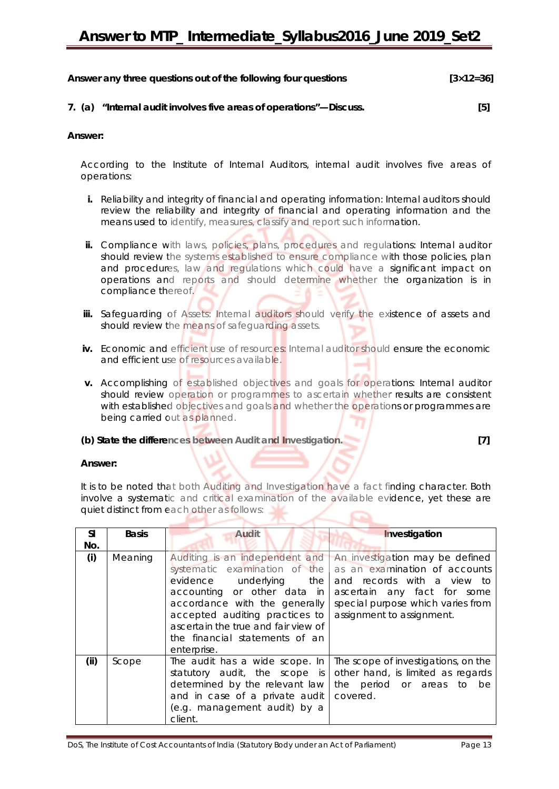| Answer any three questions out of the following four questions | $[3 \times 12 = 36]$ |
|----------------------------------------------------------------|----------------------|
|                                                                |                      |

#### **7. (a) "Internal audit involves five areas of operations"—Discuss. [5]**

#### **Answer:**

According to the Institute of Internal Auditors, internal audit involves five areas of operations:

- **i.** Reliability and integrity of financial and operating information: Internal auditors should review the reliability and integrity of financial and operating information and the means used to identify, measures, classify and report such information.
- ii. Compliance with laws, policies, plans, procedures and regulations: Internal auditor should review the systems established to ensure compliance with those policies, plan and procedures, law and regulations which could have a significant impact on operations and reports and should determine whether the organization is in compliance thereof.
- **iii.** Safeguarding of Assets: Internal auditors should verify the existence of assets and should review the means of safeguarding assets.
- **iv.** Economic and efficient use of resources: Internal auditor should ensure the economic and efficient use of resources available.
- **v.** Accomplishing of established objectives and goals for operations: Internal auditor should review operation or programmes to ascertain whether results are consistent with established objectives and goals and whether the operations or programmes are being carried out as planned.

#### **(b) State the differences between Audit and Investigation. [7]**

a series de

#### **Answer:**

It is to be noted that both Auditing and Investigation have a fact finding character. Both involve a systematic and critical examination of the available evidence, yet these are quiet distinct from each other as follows:

| <b>SI</b><br>No. | <b>Basis</b> | Audit                                                                                                                                                                                                                                                                                | Investigation                                                                                                                                                                                   |
|------------------|--------------|--------------------------------------------------------------------------------------------------------------------------------------------------------------------------------------------------------------------------------------------------------------------------------------|-------------------------------------------------------------------------------------------------------------------------------------------------------------------------------------------------|
| (i)              | Meaning      | Auditing is an independent and<br>systematic examination of the<br>evidence underlying the<br>accounting or other data in<br>accordance with the generally<br>accepted auditing practices to<br>ascertain the true and fair view of<br>the financial statements of an<br>enterprise. | An investigation may be defined<br>as an examination of accounts<br>and records with a view to<br>ascertain any fact for some<br>special purpose which varies from<br>assignment to assignment. |
| (ii)             | Scope        | The audit has a wide scope. In<br>statutory audit, the scope is<br>determined by the relevant law<br>and in case of a private audit<br>(e.g. management audit) by a<br>client.                                                                                                       | The scope of investigations, on the<br>other hand, is limited as regards<br>the period or areas to be<br>covered.                                                                               |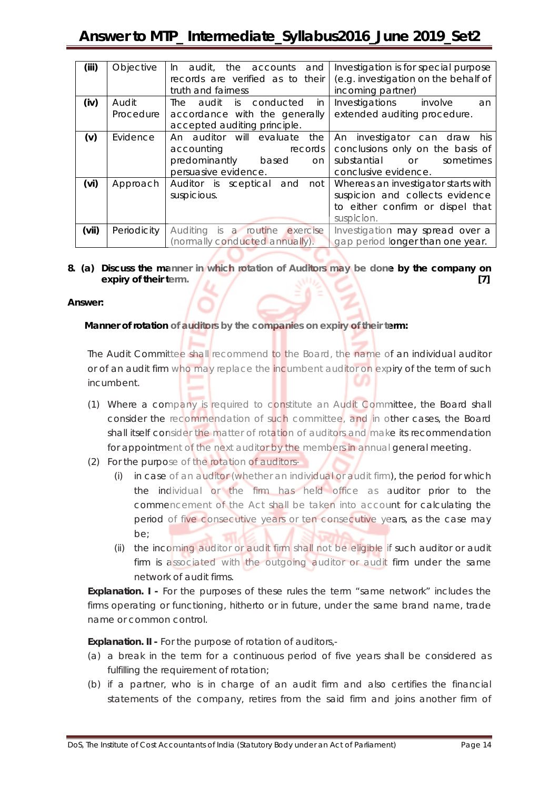| (iii) | Objective   | audit, the accounts<br>and<br>$\ln$<br>records are verified as to their<br>truth and fairness | Investigation is for special purpose<br>(e.g. investigation on the behalf of<br>incoming partner) |
|-------|-------------|-----------------------------------------------------------------------------------------------|---------------------------------------------------------------------------------------------------|
| (iv)  | Audit       | audit is conducted<br>The<br>in.                                                              | Investigations involve<br>an                                                                      |
|       | Procedure   | accordance with the generally                                                                 | extended auditing procedure.                                                                      |
|       |             | accepted auditing principle.                                                                  |                                                                                                   |
| (v)   | Evidence    | An auditor will evaluate<br>the                                                               | An investigator can draw his                                                                      |
|       |             | accounting<br>records                                                                         | conclusions only on the basis of                                                                  |
|       |             | predominantly based<br>on                                                                     | substantial or<br>sometimes                                                                       |
|       |             | persuasive evidence.                                                                          | conclusive evidence.                                                                              |
| (vi)  | Approach    | Auditor is sceptical and<br>not                                                               | Whereas an investigator starts with                                                               |
|       |             | suspicious.                                                                                   | suspicion and collects evidence                                                                   |
|       |             |                                                                                               | to either confirm or dispel that                                                                  |
|       |             |                                                                                               | suspicion.                                                                                        |
| (vii) | Periodicity | Auditing is a routine exercise                                                                | Investigation may spread over a                                                                   |
|       |             | (normally conducted annually).                                                                | gap period longer than one year.                                                                  |

#### **8. (a) Discuss the manner in which rotation of Auditors may be done by the company on expiry of their term.** [7] *expiry of their term.* [7]

#### **Answer:**

#### **Manner of rotation of auditors by the companies on expiry of their term:**

The Audit Committee shall recommend to the Board, the name of an individual auditor or of an audit firm who may replace the incumbent auditor on expiry of the term of such incumbent.

- (1) Where a company is required to constitute an Audit Committee, the Board shall consider the recommendation of such committee, and in other cases, the Board shall itself consider the matter of rotation of auditors and make its recommendation for appointment of the next auditor by the members in annual general meeting.
- (2) For the purpose of the rotation of auditors-
	- (i) in case of an auditor (whether an individual or audit firm), the period for which the individual or the firm has held office as auditor prior to the commencement of the Act shall be taken into account for calculating the period of five consecutive years or ten consecutive years, as the case may be;
	- (ii) the incoming auditor or audit firm shall not be eligible if such auditor or audit firm is associated with the outgoing auditor or audit firm under the same network of audit firms.

**Explanation. I -** For the purposes of these rules the term "same network" includes the firms operating or functioning, hitherto or in future, under the same brand name, trade name or common control.

**Explanation. II -** For the purpose of rotation of auditors,-

- (a) a break in the term for a continuous period of five years shall be considered as fulfilling the requirement of rotation;
- (b) if a partner, who is in charge of an audit firm and also certifies the financial statements of the company, retires from the said firm and joins another firm of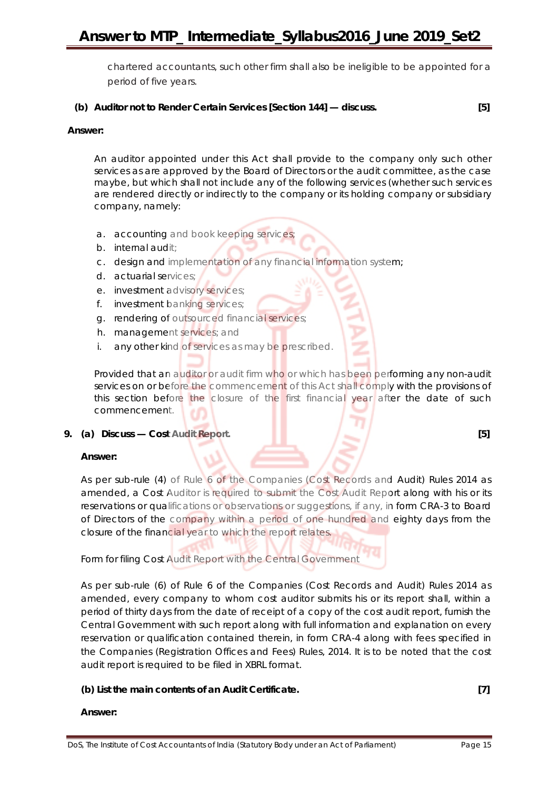chartered accountants, such other firm shall also be ineligible to be appointed for a period of five years.

#### **(b) Auditor not to Render Certain Services [Section 144] — discuss. [5]**

#### **Answer:**

An auditor appointed under this Act shall provide to the company only such other services as are approved by the Board of Directors or the audit committee, as the case maybe, but which shall not include any of the following services (whether such services are rendered directly or indirectly to the company or its holding company or subsidiary company, namely:

- a. accounting and book keeping services
- b. internal audit;
- c. design and implementation of any financial information system;
- d. actuarial services;
- e. investment advisory services;
- f. investment banking services;
- g. rendering of outsourced financial services;
- h. management services; and
- i. any other kind of services as may be prescribed.

Provided that an auditor or audit firm who or which has been performing any non-audit services on or before the commencement of this Act shall comply with the provisions of this section before the closure of the first financial year after the date of such commencement.

#### **9. (a) Discuss — Cost Audit Report. [5]**

#### **Answer:**

As per sub-rule (4) of Rule 6 of the Companies (Cost Records and Audit) Rules 2014 as amended, a Cost Auditor is required to submit the Cost Audit Report along with his or its reservations or qualifications or observations or suggestions, if any, in form CRA-3 to Board of Directors of the company within a period of one hundred and eighty days from the closure of the financial year to which the report relates.

Form for filing Cost Audit Report with the Central Government

As per sub-rule (6) of Rule 6 of the Companies (Cost Records and Audit) Rules 2014 as amended, every company to whom cost auditor submits his or its report shall, within a period of thirty days from the date of receipt of a copy of the cost audit report, furnish the Central Government with such report along with full information and explanation on every reservation or qualification contained therein, in form CRA-4 along with fees specified in the Companies (Registration Offices and Fees) Rules, 2014. It is to be noted that the cost audit report is required to be filed in XBRL format.

#### **(b) List the main contents of an Audit Certificate. [7]**

#### **Answer:**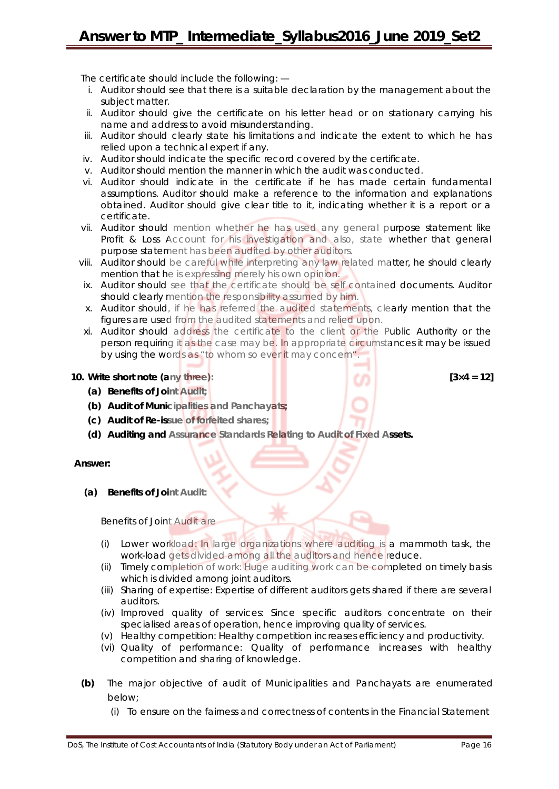The certificate should include the following: —

- i. Auditor should see that there is a suitable declaration by the management about the subject matter.
- ii. Auditor should give the certificate on his letter head or on stationary carrying his name and address to avoid misunderstanding.
- iii. Auditor should clearly state his limitations and indicate the extent to which he has relied upon a technical expert if any.
- iv. Auditor should indicate the specific record covered by the certificate.
- v. Auditor should mention the manner in which the audit was conducted.
- vi. Auditor should indicate in the certificate if he has made certain fundamental assumptions. Auditor should make a reference to the information and explanations obtained. Auditor should give clear title to it, indicating whether it is a report or a certificate.
- vii. Auditor should mention whether he has used any general purpose statement like Profit & Loss Account for his investigation and also, state whether that general purpose statement has been audited by other auditors.
- viii. Auditor should be careful while interpreting any law related matter, he should clearly mention that he is expressing merely his own opinion.
- ix. Auditor should see that the certificate should be self contained documents. Auditor should clearly mention the responsibility assumed by him.
- x. Auditor should, if he has referred the audited statements, clearly mention that the figures are used from the audited statements and relied upon.
- xi. Auditor should address the certificate to the client or the Public Authority or the person requiring it as the case may be. In appropriate circumstances it may be issued by using the words as "to whom so ever it may concern".

#### **10. Write short note (any three): [3×4 = 12]**

- **(a) Benefits of Joint Audit;**
- **(b) Audit of Municipalities and Panchayats;**
- **(c) Audit of Re-issue of forfeited shares;**
- **(d) Auditing and Assurance Standards Relating to Audit of Fixed Assets.**

**Answer:** 

**(a) Benefits of Joint Audit:** 

Benefits of Joint Audit are

- (i) Lower workload: In large organizations where auditing is a mammoth task, the work-load gets divided among all the auditors and hence reduce.
- (ii) Timely completion of work: Huge auditing work can be completed on timely basis which is divided among joint auditors.
- (iii) Sharing of expertise: Expertise of different auditors gets shared if there are several auditors.
- (iv) Improved quality of services: Since specific auditors concentrate on their specialised areas of operation, hence improving quality of services.
- (v) Healthy competition: Healthy competition increases efficiency and productivity.
- (vi) Quality of performance: Quality of performance increases with healthy competition and sharing of knowledge.
- **(b)** The major objective of audit of Municipalities and Panchayats are enumerated below;
	- (i) To ensure on the fairness and correctness of contents in the Financial Statement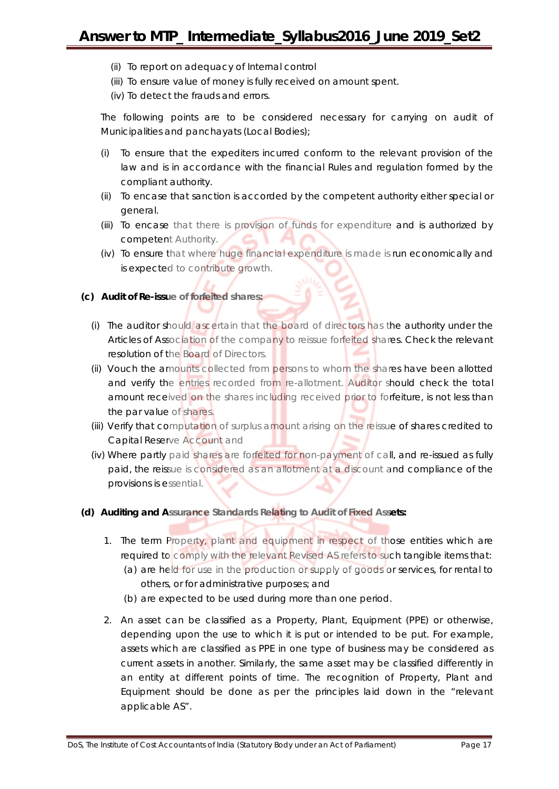- (ii) To report on adequacy of Internal control
- (iii) To ensure value of money is fully received on amount spent.
- (iv) To detect the frauds and errors.

The following points are to be considered necessary for carrying on audit of Municipalities and panchayats (Local Bodies);

- (i) To ensure that the expediters incurred conform to the relevant provision of the law and is in accordance with the financial Rules and regulation formed by the compliant authority.
- (ii) To encase that sanction is accorded by the competent authority either special or general.
- (iii) To encase that there is provision of funds for expenditure and is authorized by competent Authority.
- (iv) To ensure that where huge financial expenditure is made is run economically and is expected to contribute growth.

#### **(c) Audit of Re-issue of forfeited shares:**

- (i) The auditor should ascertain that the board of directors has the authority under the Articles of Association of the company to reissue forfeited shares. Check the relevant resolution of the Board of Directors.
- (ii) Vouch the amounts collected from persons to whom the shares have been allotted and verify the entries recorded from re-allotment. Auditor should check the total amount received on the shares including received prior to forfeiture, is not less than the par value of shares.
- (iii) Verify that computation of surplus amount arising on the reissue of shares credited to Capital Reserve Account and
- (iv) Where partly paid shares are forfeited for non-payment of call, and re-issued as fully paid, the reissue is considered as an allotment at a discount and compliance of the provisions is essential.
- **(d) Auditing and Assurance Standards Relating to Audit of Fixed Assets:**
	- 1. The term Property, plant and equipment in respect of those entities which are required to comply with the relevant Revised AS refers to such tangible items that:
		- (a) are held for use in the production or supply of goods or services, for rental to others, or for administrative purposes; and
		- (b) are expected to be used during more than one period.
	- 2. An asset can be classified as a Property, Plant, Equipment (PPE) or otherwise, depending upon the use to which it is put or intended to be put. For example, assets which are classified as PPE in one type of business may be considered as current assets in another. Similarly, the same asset may be classified differently in an entity at different points of time. The recognition of Property, Plant and Equipment should be done as per the principles laid down in the "relevant applicable AS".